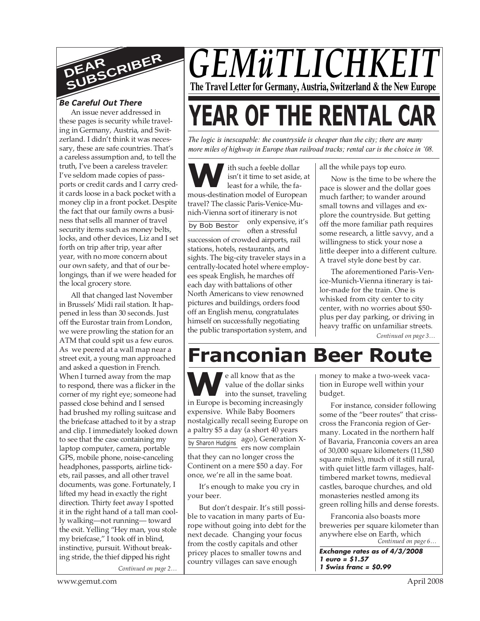

# *Be Careful Out There*

An issue never addressed in these pages is security while traveling in Germany, Austria, and Switzerland. I didn't think it was necessary, these are safe countries. That's a careless assumption and, to tell the truth, I've been a careless traveler: I've seldom made copies of passports or credit cards and I carry credit cards loose in a back pocket with a money clip in a front pocket. Despite the fact that our family owns a business that sells all manner of travel security items such as money belts, locks, and other devices, Liz and I set forth on trip after trip, year after year, with no more concern about our own safety, and that of our belongings, than if we were headed for the local grocery store.

*Continued on page 2…* All that changed last November in Brussels' Midi rail station. It happened in less than 30 seconds. Just off the Eurostar train from London, we were prowling the station for an ATM that could spit us a few euros. As we peered at a wall map near a street exit, a young man approached and asked a question in French. When I turned away from the map to respond, there was a flicker in the corner of my right eye; someone had passed close behind and I sensed had brushed my rolling suitcase and the briefcase attached to it by a strap and clip. I immediately looked down to see that the case containing my laptop computer, camera, portable GPS, mobile phone, noise-canceling headphones, passports, airline tickets, rail passes, and all other travel documents, was gone. Fortunately, I lifted my head in exactly the right direction. Thirty feet away I spotted it in the right hand of a tall man coolly walking—not running— toward the exit. Yelling "Hey man, you stole my briefcase," I took off in blind, instinctive, pursuit. Without breaking stride, the thief dipped his right

# *GEMüTLICHKE* **The Travel Letter for Germany, Austria, Switzerland & the New Europe**

# **YEAR OF THE RENTAL CAR**

*The logic is inescapable: the countryside is cheaper than the city; there are many more miles of highway in Europe than railroad tracks; rental car is the choice in '08.*

**W**isn't it time to set aside, a<br>
least for a while, the fa-<br>
mous-destination model of European ith such a feeble dollar isn't it time to set aside, at least for a while, the fatravel? The classic Paris-Venice-Munich-Vienna sort of itinerary is not only expensive, it's

by Bob Bestor often a stressful succession of crowded airports, rail stations, hotels, restaurants, and sights. The big-city traveler stays in a centrally-located hotel where employees speak English, he marches off each day with battalions of other North Americans to view renowned pictures and buildings, orders food off an English menu, congratulates himself on successfully negotiating the public transportation system, and

all the while pays top euro.

Now is the time to be where the pace is slower and the dollar goes much farther; to wander around small towns and villages and explore the countryside. But getting off the more familiar path requires some research, a little savvy, and a willingness to stick your nose a little deeper into a different culture. A travel style done best by car.

The aforementioned Paris-Venice-Munich-Vienna itinerary is tailor-made for the train. One is whisked from city center to city center, with no worries about \$50 plus per day parking, or driving in heavy traffic on unfamiliar streets.

*Continued on page 3…*

# **Franconian Beer Route**

**W e** all know that as the<br>
value of the dollar sinks<br>
into the sunset, traveling<br>
in Europe is becoming increasingly by Sharon Hudgins ago), Generation Xe all know that as the value of the dollar sinks into the sunset, traveling expensive. While Baby Boomers nostalgically recall seeing Europe on a paltry \$5 a day (a short 40 years ers now complain that they can no longer cross the

Continent on a mere \$50 a day. For once, we're all in the same boat.

It's enough to make you cry in your beer.

But don't despair. It's still possible to vacation in many parts of Europe without going into debt for the next decade. Changing your focus from the costly capitals and other pricey places to smaller towns and country villages can save enough

money to make a two-week vacation in Europe well within your budget.

For instance, consider following some of the "beer routes" that crisscross the Franconia region of Germany. Located in the northern half of Bavaria, Franconia covers an area of 30,000 square kilometers (11,580 square miles), much of it still rural, with quiet little farm villages, halftimbered market towns, medieval castles, baroque churches, and old monasteries nestled among its green rolling hills and dense forests.

*Continued on page 6…* Franconia also boasts more breweries per square kilometer than anywhere else on Earth, which

**Exchange rates as of 4/3/2008 1 euro = \$1.57 1 Swiss franc = \$0.99**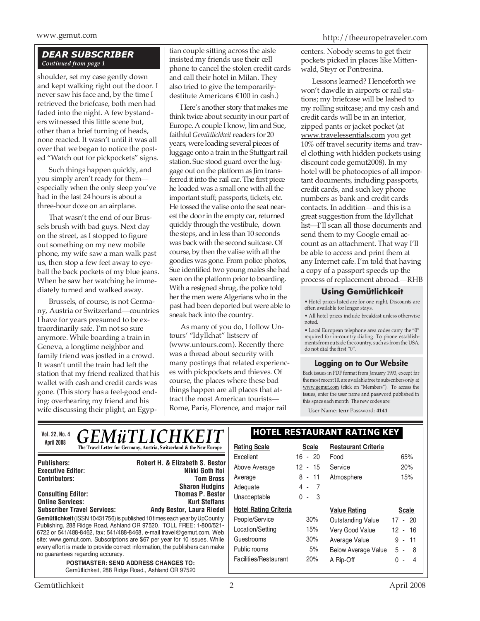# *DEAR SUBSCRIBER Continued from page 1*

shoulder, set my case gently down and kept walking right out the door. I never saw his face and, by the time I retrieved the briefcase, both men had faded into the night. A few bystanders witnessed this little scene but, other than a brief turning of heads, none reacted. It wasn't until it was all over that we began to notice the posted "Watch out for pickpockets" signs.

Such things happen quickly, and you simply aren't ready for them especially when the only sleep you've had in the last 24 hours is about a three-hour doze on an airplane.

That wasn't the end of our Brussels brush with bad guys. Next day on the street, as I stopped to figure out something on my new mobile phone, my wife saw a man walk past us, then stop a few feet away to eyeball the back pockets of my blue jeans. When he saw her watching he immediately turned and walked away.

Brussels, of course, is not Germany, Austria or Switzerland—countries I have for years presumed to be extraordinarily safe. I'm not so sure anymore. While boarding a train in Geneva, a longtime neighbor and family friend was jostled in a crowd. It wasn't until the train had left the station that my friend realized that his wallet with cash and credit cards was gone. (This story has a feel-good ending: overhearing my friend and his wife discussing their plight, an Egyp-

tian couple sitting across the aisle insisted my friends use their cell phone to cancel the stolen credit cards and call their hotel in Milan. They also tried to give the temporarilydestitute Americans €100 in cash.)

Here's another story that makes me think twice about security in our part of Europe. A couple I know, Jim and Sue, faithful *Gemütlichkeit* readers for 20 years, were loading several pieces of luggage onto a train in the Stuttgart rail station. Sue stood guard over the luggage out on the platform as Jim transferred it into the rail car. The first piece he loaded was a small one with all the important stuff; passports, tickets, etc. He tossed the valise onto the seat nearest the door in the empty car, returned quickly through the vestibule, down the steps, and in less than 10 seconds was back with the second suitcase. Of course, by then the valise with all the goodies was gone. From police photos, Sue identified two young males she had seen on the platform prior to boarding. With a resigned shrug, the police told her the men were Algerians who in the past had been deported but were able to sneak back into the country.

As many of you do, I follow Untours' "Idyllchat" listserv of (www.untours.com). Recently there was a thread about security with many postings that related experiences with pickpockets and thieves. Of course, the places where these bad things happen are all places that attract the most American tourists— Rome, Paris, Florence, and major rail

www.gemut.com http://theeuropetraveler.com

centers. Nobody seems to get their pockets picked in places like Mittenwald, Steyr or Pontresina.

Lessons learned? Henceforth we won't dawdle in airports or rail stations; my briefcase will be lashed to my rolling suitcase; and my cash and credit cards will be in an interior, zipped pants or jacket pocket (at www.travelessentials.com you get 10% off travel security items and travel clothing with hidden pockets using discount code gemut2008). In my hotel will be photocopies of all important documents, including passports, credit cards, and such key phone numbers as bank and credit cards contacts. In addition—and this is a great suggestion from the Idyllchat list—I'll scan all those documents and send them to my Google email account as an attachment. That way I'll be able to access and print them at any Internet cafe. I'm told that having a copy of a passport speeds up the process of replacement abroad.—RHB

# **Using Gemütlichkeit**

• Hotel prices listed are for one night. Discounts are often available for longer stays.

• All hotel prices include breakfast unless otherwise noted.

• Local European telephone area codes carry the "0" required for in-country dialing. To phone establishments from outside the country, such as from the USA, do not dial the first "0".

# **Logging on to Our Website**

Back issues in PDF format from January 1993, except for the most recent 10, are available free to subscribers only at www.gemut.com (click on "Members"). To access the issues, enter the user name and password published in this space each month. The new codes are:

User Name: **tenr** Password: **4141**

| <b>GEMÜTLICHKEIT</b><br>Vol. 22, No. 4                                                                                                                                                                                                                                                                                                                                                                                                                                                                                          |                                                                      | <b>HOTEL RESTAURANT RATING KEY</b> |              |                            |              |
|---------------------------------------------------------------------------------------------------------------------------------------------------------------------------------------------------------------------------------------------------------------------------------------------------------------------------------------------------------------------------------------------------------------------------------------------------------------------------------------------------------------------------------|----------------------------------------------------------------------|------------------------------------|--------------|----------------------------|--------------|
| April 2008                                                                                                                                                                                                                                                                                                                                                                                                                                                                                                                      | The Travel Letter for Germany, Austria, Switzerland & the New Europe | <b>Rating Scale</b>                | <b>Scale</b> | <b>Restaurant Criteria</b> |              |
|                                                                                                                                                                                                                                                                                                                                                                                                                                                                                                                                 |                                                                      | Excellent                          | 16 - 20      | Food                       | 65%          |
| <b>Publishers:</b><br><b>Executive Editor:</b>                                                                                                                                                                                                                                                                                                                                                                                                                                                                                  | Robert H. & Elizabeth S. Bestor<br>Nikki Goth Itoi                   | Above Average                      | $12 - 15$    | Service                    | 20%          |
| <b>Contributors:</b>                                                                                                                                                                                                                                                                                                                                                                                                                                                                                                            | <b>Tom Bross</b>                                                     | Average                            | $8 - 11$     | Atmosphere                 | 15%          |
|                                                                                                                                                                                                                                                                                                                                                                                                                                                                                                                                 | <b>Sharon Hudgins</b>                                                | Adequate                           | $4 - 7$      |                            |              |
| <b>Consulting Editor:</b><br><b>Online Services:</b>                                                                                                                                                                                                                                                                                                                                                                                                                                                                            | <b>Thomas P. Bestor</b><br><b>Kurt Steffans</b>                      | Unacceptable                       | $0 - 3$      |                            |              |
| <b>Subscriber Travel Services:</b>                                                                                                                                                                                                                                                                                                                                                                                                                                                                                              | <b>Andy Bestor, Laura Riedel</b>                                     | <b>Hotel Rating Criteria</b>       |              | <b>Value Rating</b>        | <b>Scale</b> |
| Gemütlichkeit (ISSN 10431756) is published 10 times each year by UpCountry<br>Publishing, 288 Ridge Road, Ashland OR 97520. TOLL FREE: 1-800/521-<br>6722 or 541/488-8462, fax: 541/488-8468, e-mail travel@gemut.com. Web<br>site: www.gemut.com. Subscriptions are \$67 per year for 10 issues. While<br>every effort is made to provide correct information, the publishers can make<br>no quarantees regarding accuracy.<br><b>POSTMASTER: SEND ADDRESS CHANGES TO:</b><br>Gemütlichkeit, 288 Ridge Road., Ashland OR 97520 |                                                                      | People/Service                     | 30%          | <b>Outstanding Value</b>   | $17 - 20$    |
|                                                                                                                                                                                                                                                                                                                                                                                                                                                                                                                                 |                                                                      | Location/Setting                   | 15%          | Very Good Value            | $12 - 16$    |
|                                                                                                                                                                                                                                                                                                                                                                                                                                                                                                                                 |                                                                      | Guestrooms                         | 30%          | Average Value              | $9 - 11$     |
|                                                                                                                                                                                                                                                                                                                                                                                                                                                                                                                                 |                                                                      | Public rooms                       | 5%           | <b>Below Average Value</b> | $5 - 8$      |
|                                                                                                                                                                                                                                                                                                                                                                                                                                                                                                                                 |                                                                      | Facilities/Restaurant              | 20%          | A Rip-Off                  | $0 - 4$      |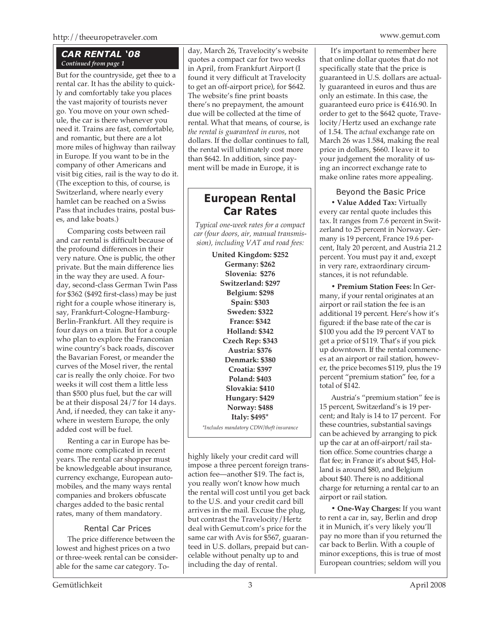# *CAR RENTAL '08 Continued from page 1*

But for the countryside, get thee to a rental car. It has the ability to quickly and comfortably take you places the vast majority of tourists never go. You move on your own schedule, the car is there whenever you need it. Trains are fast, comfortable, and romantic, but there are a lot more miles of highway than railway in Europe. If you want to be in the company of other Americans and visit big cities, rail is the way to do it. (The exception to this, of course, is Switzerland, where nearly every hamlet can be reached on a Swiss Pass that includes trains, postal buses, and lake boats.)

Comparing costs between rail and car rental is difficult because of the profound differences in their very nature. One is public, the other private. But the main difference lies in the way they are used. A fourday, second-class German Twin Pass for \$362 (\$492 first-class) may be just right for a couple whose itinerary is, say, Frankfurt-Cologne-Hamburg-Berlin-Frankfurt. All they require is four days on a train. But for a couple who plan to explore the Franconian wine country's back roads, discover the Bavarian Forest, or meander the curves of the Mosel river, the rental car is really the only choice. For two weeks it will cost them a little less than \$500 plus fuel, but the car will be at their disposal 24/7 for 14 days. And, if needed, they can take it anywhere in western Europe, the only added cost will be fuel.

Renting a car in Europe has become more complicated in recent years. The rental car shopper must be knowledgeable about insurance, currency exchange, European automobiles, and the many ways rental companies and brokers obfuscate charges added to the basic rental rates, many of them mandatory.

# Rental Car Prices

The price difference between the lowest and highest prices on a two or three-week rental can be considerable for the same car category. Today, March 26, Travelocity's website quotes a compact car for two weeks in April, from Frankfurt Airport (I found it very difficult at Travelocity to get an off-airport price), for \$642. The website's fine print boasts there's no prepayment, the amount due will be collected at the time of rental. What that means, of course, is *the rental is guaranteed in euros*, not dollars. If the dollar continues to fall, the rental will ultimately cost more than \$642. In addition, since payment will be made in Europe, it is

# **European Rental Car Rates**

*Typical one-week rates for a compact car (four doors, air, manual transmission), including VAT and road fees:*

**United Kingdom: \$252**

**Germany: \$262 Slovenia: \$276 Switzerland: \$297 Belgium: \$298 Spain: \$303 Sweden: \$322 France: \$342 Holland: \$342 Czech Rep: \$343 Austria: \$376 Denmark: \$380 Croatia: \$397 Poland: \$403 Slovakia: \$410 Hungary: \$429 Norway: \$488 Italy: \$495\*** *\*Includes mandatory CDW/theft insurance*

highly likely your credit card will impose a three percent foreign transaction fee—another \$19. The fact is, you really won't know how much the rental will cost until you get back to the U.S. and your credit card bill arrives in the mail. Excuse the plug, but contrast the Travelocity/Hertz deal with Gemut.com's price for the same car with Avis for \$567, guaranteed in U.S. dollars, prepaid but cancelable without penalty up to and including the day of rental.

It's important to remember here that online dollar quotes that do not specifically state that the price is guaranteed in U.S. dollars are actually guaranteed in euros and thus are only an estimate. In this case, the guaranteed euro price is €416.90. In order to get to the \$642 quote, Travelocity/Hertz used an exchange rate of 1.54. The *actual* exchange rate on March 26 was 1.584, making the real price in dollars, \$660. I leave it to your judgement the morality of using an incorrect exchange rate to make online rates more appealing.

Beyond the Basic Price

**• Value Added Tax:** Virtually every car rental quote includes this tax. It ranges from 7.6 percent in Switzerland to 25 percent in Norway. Germany is 19 percent, France 19.6 percent, Italy 20 percent, and Austria 21.2 percent. You must pay it and, except in very rare, extraordinary circumstances, it is not refundable.

**• Premium Station Fees:** In Germany, if your rental originates at an airport or rail station the fee is an additional 19 percent. Here's how it's figured: if the base rate of the car is \$100 you add the 19 percent VAT to get a price of \$119. That's if you pick up downtown. If the rental commences at an airport or rail station, however, the price becomes \$119, plus the 19 percent "premium station" fee, for a total of \$142.

Austria's "premium station" fee is 15 percent, Switzerland's is 19 percent; and Italy is 14 to 17 percent. For these countries, substantial savings can be achieved by arranging to pick up the car at an off-airport/rail station office. Some countries charge a flat fee; in France it's about \$45, Holland is around \$80, and Belgium about \$40. There is no additional charge for returning a rental car to an airport or rail station.

**• One-Way Charges:** If you want to rent a car in, say, Berlin and drop it in Munich, it's very likely you'll pay no more than if you returned the car back to Berlin. With a couple of minor exceptions, this is true of most European countries; seldom will you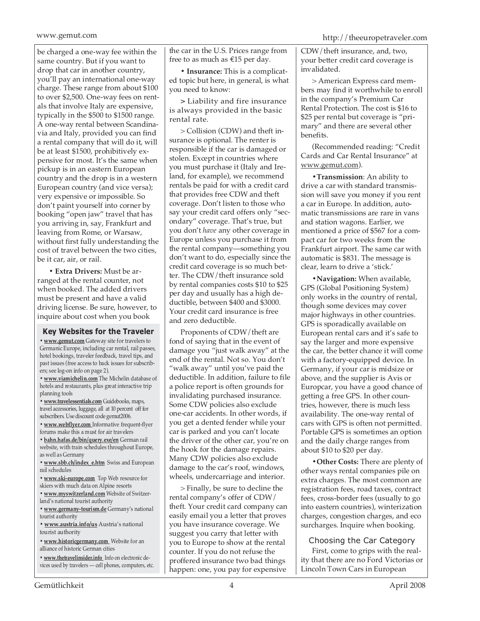# www.gemut.com http://theeuropetraveler.com

be charged a one-way fee within the same country. But if you want to drop that car in another country, you'll pay an international one-way charge. These range from about \$100 to over \$2,500. One-way fees on rentals that involve Italy are expensive, typically in the \$500 to \$1500 range. A one-way rental between Scandinavia and Italy, provided you can find a rental company that will do it, will be at least \$1500, prohibitively expensive for most. It's the same when pickup is in an eastern European country and the drop is in a western European country (and vice versa); very expensive or impossible. So don't paint yourself into corner by booking "open jaw" travel that has you arriving in, say, Frankfurt and leaving from Rome, or Warsaw, without first fully understanding the cost of travel between the two cities, be it car, air, or rail.

**• Extra Drivers:** Must be arranged at the rental counter, not when booked. The added drivers must be present and have a valid driving license. Be sure, however, to inquire about cost when you book

# **Key Websites for the Traveler**

**• www.gemut.com** Gateway site for travelers to Germanic Europe, including car rental, rail passes, hotel bookings, traveler feedback, travel tips, and past issues (free access to back issues for subscribers; see log-on info on page 2).

**• www.viamichelin.com** The Michelin database of hotels and restaurants, plus great interactive trip planning tools

**• www.travelessentials.com** Guidebooks, maps, travel accessories, luggage, all at 10 percent off for subscribers. Use discount code gemut2006.

**• www.webflyer.com** Informative frequent-flyer forums make this a must for air travelers

**• bahn.hafas.de/bin/query.exe/en** German rail website, with train schedules throughout Europe, as well as Germany

**• www.sbb.ch/index\_e.htm** Swiss and European rail schedules

**• www.ski-europe.com** Top Web resource for skiers with much data on Alpine resorts

**• www.myswitzerland.com** Website of Switzerland's national tourist authority

**• www.germany-tourism.de** Germany's national tourist authority

**• www.austria.info/us** Austria's national tourist authority

**• www.historicgermany.com** Website for an alliance of historic German cities

**• www.thetravelinsider.info** Info on electronic devices used by travelers — cell phones, computers, etc. the car in the U.S. Prices range from free to as much as €15 per day.

**• Insurance:** This is a complicated topic but here, in general, is what you need to know:

**>** Liability and fire insurance is always provided in the basic rental rate.

> Collision (CDW) and theft insurance is optional. The renter is responsible if the car is damaged or stolen. Except in countries where you must purchase it (Italy and Ireland, for example), we recommend rentals be paid for with a credit card that provides free CDW and theft coverage. Don't listen to those who say your credit card offers only "secondary" coverage. That's true, but you don't *have* any other coverage in Europe unless you purchase it from the rental company—something you don't want to do, especially since the credit card coverage is so much better. The CDW/theft insurance sold by rental companies costs \$10 to \$25 per day and usually has a high deductible, between \$400 and \$3000. Your credit card insurance is free and zero deductible.

Proponents of CDW/theft are fond of saying that in the event of damage you "just walk away" at the end of the rental. Not so. You don't "walk away" until you've paid the deductible. In addition, failure to file a police report is often grounds for invalidating purchased insurance. Some CDW policies also exclude one-car accidents. In other words, if you get a dented fender while your car is parked and you can't locate the driver of the other car, you're on the hook for the damage repairs. Many CDW policies also exclude damage to the car's roof, windows, wheels, undercarriage and interior.

> Finally, be sure to decline the rental company's offer of CDW/ theft. Your credit card company can easily email you a letter that proves you have insurance coverage. We suggest you carry that letter with you to Europe to show at the rental counter. If you do not refuse the proffered insurance two bad things happen: one, you pay for expensive

CDW/theft insurance, and, two, your better credit card coverage is invalidated.

> American Express card members may find it worthwhile to enroll in the company's Premium Car Rental Protection. The cost is \$16 to \$25 per rental but coverage is "primary" and there are several other benefits.

(Recommended reading: "Credit Cards and Car Rental Insurance" at www.gemut.com).

**•Transmission**: An ability to drive a car with standard transmission will save you money if you rent a car in Europe. In addition, automatic transmissions are rare in vans and station wagons. Earlier, we mentioned a price of \$567 for a compact car for two weeks from the Frankfurt airport. The same car with automatic is \$831. The message is clear, learn to drive a 'stick.'

**•Navigation:** When available, GPS (Global Positioning System) only works in the country of rental, though some devices may cover major highways in other countries. GPS is sporadically available on European rental cars and it's safe to say the larger and more expensive the car, the better chance it will come with a factory-equipped device. In Germany, if your car is midsize or above, and the supplier is Avis or Europcar, you have a good chance of getting a free GPS. In other countries, however, there is much less availability. The one-way rental of cars with GPS is often not permitted. Portable GPS is sometimes an option and the daily charge ranges from about \$10 to \$20 per day.

**•Other Costs:** There are plenty of other ways rental companies pile on extra charges. The most common are registration fees, road taxes, contract fees, cross-border fees (usually to go into eastern countries), winterization charges, congestion charges, and eco surcharges. Inquire when booking.

Choosing the Car Category

First, come to grips with the reality that there are no Ford Victorias or Lincoln Town Cars in European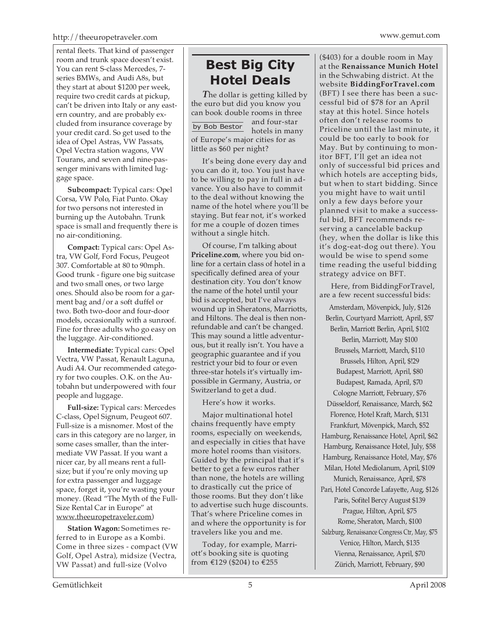rental fleets. That kind of passenger room and trunk space doesn't exist. You can rent S-class Mercedes, 7 series BMWs, and Audi A8s, but they start at about \$1200 per week, require two credit cards at pickup, can't be driven into Italy or any eastern country, and are probably excluded from insurance coverage by your credit card. So get used to the idea of Opel Astras, VW Passats, Opel Vectra station wagons, VW Tourans, and seven and nine-passenger minivans with limited luggage space.

**Subcompact:** Typical cars: Opel Corsa, VW Polo, Fiat Punto. Okay for two persons not interested in burning up the Autobahn. Trunk space is small and frequently there is no air-conditioning.

**Compact:** Typical cars: Opel Astra, VW Golf, Ford Focus, Peugeot 307. Comfortable at 80 to 90mph. Good trunk - figure one big suitcase and two small ones, or two large ones. Should also be room for a garment bag and/or a soft duffel or two. Both two-door and four-door models, occasionally with a sunroof. Fine for three adults who go easy on the luggage. Air-conditioned.

**Intermediate:** Typical cars: Opel Vectra, VW Passat, Renault Laguna, Audi A4. Our recommended category for two couples. O.K. on the Autobahn but underpowered with four people and luggage.

**Full-size:** Typical cars: Mercedes C-class, Opel Signum, Peugeot 607. Full-size is a misnomer. Most of the cars in this category are no larger, in some cases smaller, than the intermediate VW Passat. If you want a nicer car, by all means rent a fullsize; but if you're only moving up for extra passenger and luggage space, forget it, you're wasting your money. (Read "The Myth of the Full-Size Rental Car in Europe" at www.theeuropetraveler.com)

**Station Wagon:** Sometimes referred to in Europe as a Kombi. Come in three sizes - compact (VW Golf, Opel Astra), midsize (Vectra, VW Passat) and full-size (Volvo

# **Best Big City Hotel Deals**

*T*he dollar is getting killed by the euro but did you know you can book double rooms in three and four-star hotels in many of Europe's major cities for as little as \$60 per night? by Bob Bestor

It's being done every day and you can do it, too. You just have to be willing to pay in full in advance. You also have to commit to the deal without knowing the name of the hotel where you'll be staying. But fear not, it's worked for me a couple of dozen times without a single hitch.

Of course, I'm talking about **Priceline.com**, where you bid online for a certain class of hotel in a specifically defined area of your destination city. You don't know the name of the hotel until your bid is accepted, but I've always wound up in Sheratons, Marriotts, and Hiltons. The deal is then nonrefundable and can't be changed. This may sound a little adventurous, but it really isn't. You have a geographic guarantee and if you restrict your bid to four or even three-star hotels it's virtually impossible in Germany, Austria, or Switzerland to get a dud.

Here's how it works.

Major multinational hotel chains frequently have empty rooms, especially on weekends, and especially in cities that have more hotel rooms than visitors. Guided by the principal that it's better to get a few euros rather than none, the hotels are willing to drastically cut the price of those rooms. But they don't like to advertise such huge discounts. That's where Priceline comes in and where the opportunity is for travelers like you and me.

Today, for example, Marriott's booking site is quoting from €129 (\$204) to €255

(\$403) for a double room in May at the **Renaissance Munich Hotel** in the Schwabing district. At the website **BiddingForTravel.com** (BFT) I see there has been a successful bid of \$78 for an April stay at this hotel. Since hotels often don't release rooms to Priceline until the last minute, it could be too early to book for May. But by continuing to monitor BFT, I'll get an idea not only of successful bid prices and which hotels are accepting bids, but when to start bidding. Since you might have to wait until only a few days before your planned visit to make a successful bid, BFT recommends reserving a cancelable backup (hey, when the dollar is like this it's dog-eat-dog out there). You would be wise to spend some time reading the useful bidding strategy advice on BFT.

Here, from BiddingForTravel, are a few recent successful bids:

Amsterdam, Mövenpick, July, \$126 Berlin, Courtyard Marriott, April, \$57 Berlin, Marriott Berlin, April, \$102 Berlin, Marriott, May \$100 Brussels, Marriott, March, \$110 Brussels, Hilton, April, \$!29 Budapest, Marriott, April, \$80 Budapest, Ramada, April, \$70 Cologne Marriott, February, \$76 Düsseldorf, Renaissance, March, \$62 Florence, Hotel Kraft, March, \$131 Frankfurt, Mövenpick, March, \$52 Hamburg, Renaissance Hotel, April, \$62 Hamburg, Renaissance Hotel, July, \$58 Hamburg, Renaissance Hotel, May, \$76 Milan, Hotel Mediolanum, April, \$109 Munich, Renaissance, April, \$78 Pari, Hotel Concorde Lafayette, Aug, \$126 Paris, Sofitel Bercy August \$139 Prague, Hilton, April, \$75 Rome, Sheraton, March, \$100 Salzburg, Renaissance Congress Ctr, May, \$75 Venice, Hilton, March, \$135 Vienna, Renaissance, April, \$70 Zürich, Marriott, February, \$90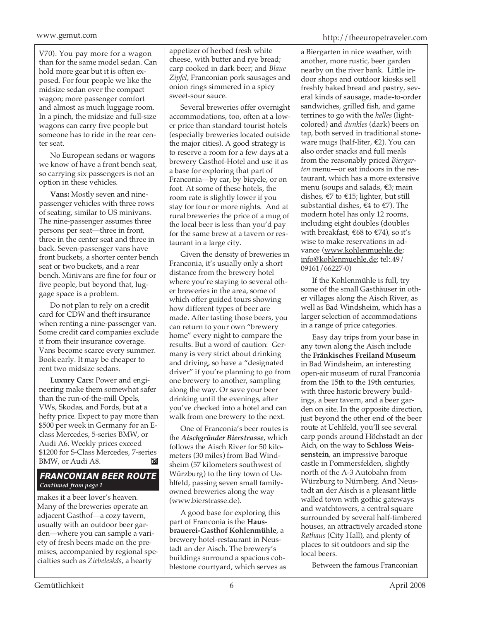V70). You pay more for a wagon than for the same model sedan. Can hold more gear but it is often exposed. For four people we like the midsize sedan over the compact wagon; more passenger comfort and almost as much luggage room. In a pinch, the midsize and full-size wagons can carry five people but someone has to ride in the rear center seat.

No European sedans or wagons we know of have a front bench seat, so carrying six passengers is not an option in these vehicles.

**Vans:** Mostly seven and ninepassenger vehicles with three rows of seating, similar to US minivans. The nine-passenger assumes three persons per seat—three in front, three in the center seat and three in back. Seven-passenger vans have front buckets, a shorter center bench seat or two buckets, and a rear bench. Minivans are fine for four or five people, but beyond that, luggage space is a problem.

Do not plan to rely on a credit card for CDW and theft insurance when renting a nine-passenger van. Some credit card companies exclude it from their insurance coverage. Vans become scarce every summer. Book early. It may be cheaper to rent two midsize sedans.

**Luxury Cars:** Power and engineering make them somewhat safer than the run-of-the-mill Opels, VWs, Skodas, and Fords, but at a hefty price. Expect to pay more than \$500 per week in Germany for an Eclass Mercedes, 5-series BMW, or Audi A6. Weekly prices exceed \$1200 for S-Class Mercedes, 7-series BMW, or Audi A8. 岡

# *FRANCONIAN BEER ROUTE Continued from page 1*

makes it a beer lover's heaven. Many of the breweries operate an adjacent Gasthof—a cozy tavern, usually with an outdoor beer garden—where you can sample a variety of fresh beers made on the premises, accompanied by regional specialties such as *Ziebeleskäs*, a hearty

appetizer of herbed fresh white cheese, with butter and rye bread; carp cooked in dark beer; and *Blaue Zipfel*, Franconian pork sausages and onion rings simmered in a spicy sweet-sour sauce.

Several breweries offer overnight accommodations, too, often at a lower price than standard tourist hotels (especially breweries located outside the major cities). A good strategy is to reserve a room for a few days at a brewery Gasthof-Hotel and use it as a base for exploring that part of Franconia—by car, by bicycle, or on foot. At some of these hotels, the room rate is slightly lower if you stay for four or more nights. And at rural breweries the price of a mug of the local beer is less than you'd pay for the same brew at a tavern or restaurant in a large city.

Given the density of breweries in Franconia, it's usually only a short distance from the brewery hotel where you're staying to several other breweries in the area, some of which offer guided tours showing how different types of beer are made. After tasting those beers, you can return to your own "brewery home" every night to compare the results. But a word of caution: Germany is very strict about drinking and driving, so have a "designated driver" if you're planning to go from one brewery to another, sampling along the way. Or save your beer drinking until the evenings, after you've checked into a hotel and can walk from one brewery to the next.

One of Franconia's beer routes is the *Aischgründer Bierstrasse*, which follows the Aisch River for 50 kilometers (30 miles) from Bad Windsheim (57 kilometers southwest of Würzburg) to the tiny town of Uehlfeld, passing seven small familyowned breweries along the way (www.bierstrasse.de).

A good base for exploring this part of Franconia is the **Hausbrauerei-Gasthof Kohlenmühle**, a brewery hotel-restaurant in Neustadt an der Aisch. The brewery's buildings surround a spacious cobblestone courtyard, which serves as a Biergarten in nice weather, with another, more rustic, beer garden nearby on the river bank. Little indoor shops and outdoor kiosks sell freshly baked bread and pastry, several kinds of sausage, made-to-order sandwiches, grilled fish, and game terrines to go with the *helles* (lightcolored) and *dunkles* (dark) beers on tap, both served in traditional stoneware mugs (half-liter, €2). You can also order snacks and full meals from the reasonably priced *Biergarten* menu—or eat indoors in the restaurant, which has a more extensive menu (soups and salads, €3; main dishes,  $\epsilon$ 7 to  $\epsilon$ 15; lighter, but still substantial dishes,  $\epsilon$ 4 to  $\epsilon$ 7). The modern hotel has only 12 rooms, including eight doubles (doubles with breakfast, €68 to €74), so it's wise to make reservations in advance (www.kohlenmuehle.de; info@kohlenmuehle.de; tel:.49/ 09161/66227-0)

If the Kohlenmühle is full, try some of the small Gasthäuser in other villages along the Aisch River, as well as Bad Windsheim, which has a larger selection of accommodations in a range of price categories.

Easy day trips from your base in any town along the Aisch include the **Fränkisches Freiland Museum** in Bad Windsheim, an interesting open-air museum of rural Franconia from the 15th to the 19th centuries, with three historic brewery buildings, a beer tavern, and a beer garden on site. In the opposite direction, just beyond the other end of the beer route at Uehlfeld, you'll see several carp ponds around Höchstadt an der Aich, on the way to **Schloss Weissenstein**, an impressive baroque castle in Pommersfelden, slightly north of the A-3 Autobahn from Würzburg to Nürnberg. And Neustadt an der Aisch is a pleasant little walled town with gothic gateways and watchtowers, a central square surrounded by several half-timbered houses, an attractively arcaded stone *Rathaus* (City Hall), and plenty of places to sit outdoors and sip the local beers.

Between the famous Franconian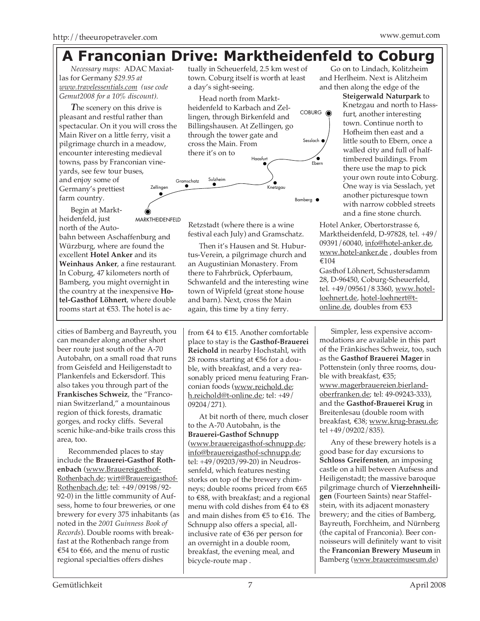# tually in Scheuerfeld, 2.5 km west of **A Franconian Drive: Marktheidenfeld to Coburg**

town. Coburg itself is worth at least

a day's sight-seeing.

*Necessary maps:* ADAC Maxiatlas for Germany *\$29.95 at www.travelessentials.com (use code Gemut2008 for a 10% discount).*

*T*he scenery on this drive is pleasant and restful rather than spectacular. On it you will cross the Main River on a little ferry, visit a pilgrimage church in a meadow, encounter interesting medieval towns, pass by Franconian vineyards, see few tour buses, and enjoy some of Germany's prettiest farm country. Zellingen

Begin at Marktheidenfeld, just north of the Auto-

MARKTHEIDENFELD

bahn between Aschaffenburg and Würzburg, where are found the excellent **Hotel Anker** and its **Weinhaus Anker**, a fine restaurant. In Coburg, 47 kilometers north of Bamberg, you might overnight in the country at the inexpensive **Hotel-Gasthof Löhnert**, where double rooms start at €53. The hotel is ac-

cities of Bamberg and Bayreuth, you can meander along another short beer route just south of the A-70 Autobahn, on a small road that runs from Geisfeld and Heiligenstadt to Plankenfels and Eckersdorf. This also takes you through part of the **Frankisches Schweiz**, the "Franconian Switzerland," a mountainous region of thick forests, dramatic gorges, and rocky cliffs. Several scenic hike-and-bike trails cross this area, too.

Recommended places to stay include the **Brauerei-Gasthof Rothenbach** (www.Brauereigasthof-Rothenbach.de; wirt@Brauereigasthof-Rothenbach.de; tel: +49/09198/92- 92-0) in the little community of Aufsess, home to four breweries, or one brewery for every 375 inhabitants (as noted in the *2001 Guinness Book of Records*). Double rooms with breakfast at the Rothenbach range from €54 to €66, and the menu of rustic regional specialties offers dishes

Retzstadt (where there is a wine festival each July) and Gramschatz.

Then it's Hausen and St. Huburtus-Verein, a pilgrimage church and an Augustinian Monastery. From there to Fahrbrück, Opferbaum, Schwanfeld and the interesting wine town of Wipfeld (great stone house and barn). Next, cross the Main again, this time by a tiny ferry.

from €4 to €15. Another comfortable place to stay is the **Gasthof-Brauerei Reichold** in nearby Hochstahl, with 28 rooms starting at €56 for a double, with breakfast, and a very reasonably priced menu featuring Franconian foods (www.reichold.de; h.reichold@t-online.de; tel: +49/ 09204/271).

At bit north of there, much closer to the A-70 Autobahn, is the **Brauerei-Gasthof Schnupp** (www.brauereigasthof-schnupp.de; info@brauereigasthof-schnupp.de; tel: +49/09203/99-20) in Neudrossenfeld, which features nesting storks on top of the brewery chimneys; double rooms priced from €65 to €88, with breakfast; and a regional menu with cold dishes from  $\epsilon$ 4 to  $\epsilon$ 8 and main dishes from €5 to €16. The Schnupp also offers a special, allinclusive rate of €36 per person for an overnight in a double room, breakfast, the evening meal, and bicycle-route map .

Go on to Lindach, Kolitzheim and Herlheim. Next is Alitzheim and then along the edge of the

> **Steigerwald Naturpark** to Knetzgau and north to Hassfurt, another interesting town. Continue north to Hofheim then east and a little south to Ebern, once a walled city and full of halftimbered buildings. From there use the map to pick your own route into Coburg. One way is via Sesslach, yet another picturesque town with narrow cobbled streets and a fine stone church.

Hotel Anker, Obertorstrasse 6, Marktheidenfeld, D-97828, tel. +49/ 09391/60040, info@hotel-anker.de, www.hotel-anker.de , doubles from €104

Gasthof Löhnert, Schustersdamm 28, D-96450, Coburg-Scheuerfeld, tel. +49/09561/8 3360, www.hotelloehnert.de, hotel-loehnert@tonline.de, doubles from €53

Simpler, less expensive accommodations are available in this part of the Fränkisches Schweiz, too, such as the **Gasthof Brauerei Mager** in Pottenstein (only three rooms, double with breakfast, €35; www.magerbrauereien.bierlandoberfranken.de; tel: 49-09243-333), and the **Gasthof-Brauerei Krug** in Breitenlesau (double room with breakfast, €38; www.krug-braeu.de; tel +49/09202/835).

Any of these brewery hotels is a good base for day excursions to **Schloss Greifensten**, an imposing castle on a hill between Aufsess and Heiligenstadt; the massive baroque pilgrimage church of **Vierzehnheiligen** (Fourteen Saints) near Staffelstein, with its adjacent monastery brewery; and the cities of Bamberg, Bayreuth, Forchheim, and Nürnberg (the capital of Franconia). Beer connoisseurs will definitely want to visit the **Franconian Brewery Museum** in Bamberg (www.brauereimuseum.de)